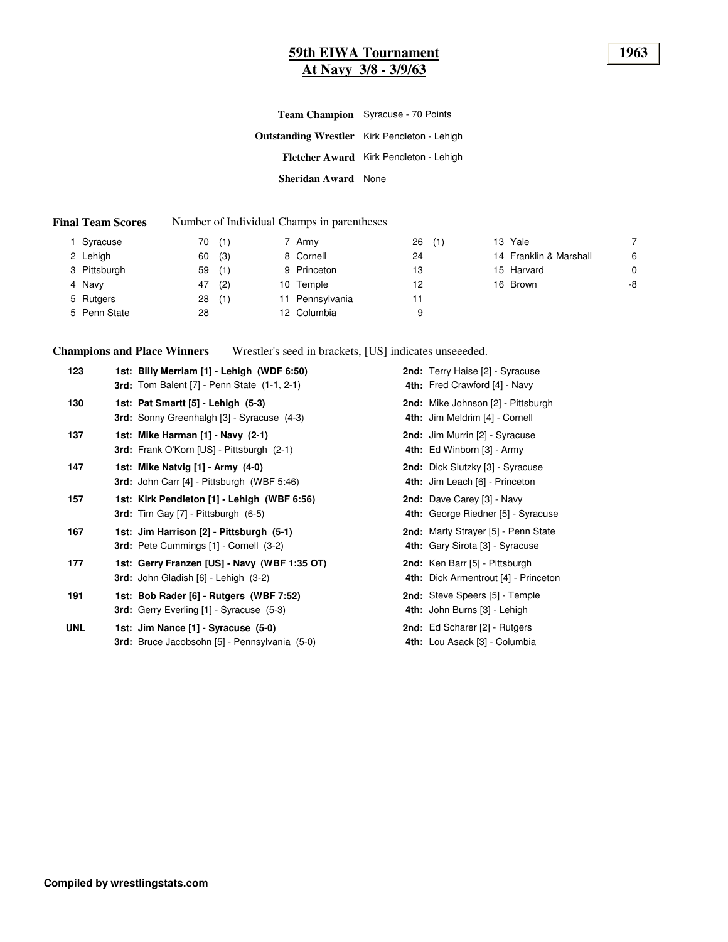### **59th EIWA Tournament 1963 At Navy 3/8 - 3/9/63**

|                            | <b>Team Champion</b> Syracuse - 70 Points           |  |  |  |
|----------------------------|-----------------------------------------------------|--|--|--|
|                            | <b>Outstanding Wrestler</b> Kirk Pendleton - Lehigh |  |  |  |
|                            | Fletcher Award Kirk Pendleton - Lehigh              |  |  |  |
| <b>Sheridan Award</b> None |                                                     |  |  |  |

#### **Final Team Scores** Number of Individual Champs in parentheses

| 1 Syracuse   | (1)<br>70 | 7 Army          | 26<br>(1) | 13 Yale                |    |
|--------------|-----------|-----------------|-----------|------------------------|----|
| 2 Lehigh     | (3)<br>60 | 8 Cornell       | 24        | 14 Franklin & Marshall | 6  |
| 3 Pittsburgh | (1)<br>59 | 9 Princeton     | 13        | 15 Harvard             | 0  |
| 4 Navy       | (2)<br>47 | 10 Temple       | 12        | 16 Brown               | -8 |
| 5 Rutgers    | (1)<br>28 | 11 Pennsylvania | 11        |                        |    |
| 5 Penn State | 28        | 12 Columbia     | 9         |                        |    |

**Champions and Place Winners** Wrestler's seed in brackets, [US] indicates unseeeded.

| 123        | 1st: Billy Merriam [1] - Lehigh (WDF 6:50)<br><b>3rd:</b> Tom Balent [7] - Penn State (1-1, 2-1) | 2nd: Terry Haise [2] - Syracuse<br>4th: Fred Crawford [4] - Navy       |
|------------|--------------------------------------------------------------------------------------------------|------------------------------------------------------------------------|
| 130        | 1st: Pat Smartt [5] - Lehigh (5-3)<br>3rd: Sonny Greenhalgh [3] - Syracuse (4-3)                 | 2nd: Mike Johnson [2] - Pittsburgh<br>4th: Jim Meldrim [4] - Cornell   |
| 137        | 1st: Mike Harman [1] - Navy (2-1)<br>3rd: Frank O'Korn [US] - Pittsburgh (2-1)                   | 2nd: Jim Murrin [2] - Syracuse<br>4th: Ed Winborn [3] - Army           |
| 147        | 1st: Mike Natvig [1] - Army (4-0)<br>3rd: John Carr [4] - Pittsburgh (WBF 5:46)                  | 2nd: Dick Slutzky [3] - Syracuse<br>4th: Jim Leach [6] - Princeton     |
| 157        | 1st: Kirk Pendleton [1] - Lehigh (WBF 6:56)<br>3rd: Tim Gay [7] - Pittsburgh (6-5)               | 2nd: Dave Carey [3] - Navy<br>4th: George Riedner [5] - Syracuse       |
| 167        | 1st: Jim Harrison [2] - Pittsburgh (5-1)<br>3rd: Pete Cummings [1] - Cornell (3-2)               | 2nd: Marty Strayer [5] - Penn State<br>4th: Gary Sirota [3] - Syracuse |
| 177        | 1st: Gerry Franzen [US] - Navy (WBF 1:35 OT)<br>3rd: John Gladish [6] - Lehigh (3-2)             | 2nd: Ken Barr [5] - Pittsburgh<br>4th: Dick Armentrout [4] - Princeton |
| 191        | 1st: Bob Rader [6] - Rutgers (WBF 7:52)<br><b>3rd:</b> Gerry Everling [1] - Syracuse (5-3)       | 2nd: Steve Speers [5] - Temple<br>4th: John Burns [3] - Lehigh         |
| <b>UNL</b> | 1st: Jim Nance [1] - Syracuse (5-0)<br>3rd: Bruce Jacobsohn [5] - Pennsylvania (5-0)             | 2nd: Ed Scharer [2] - Rutgers<br>4th: Lou Asack [3] - Columbia         |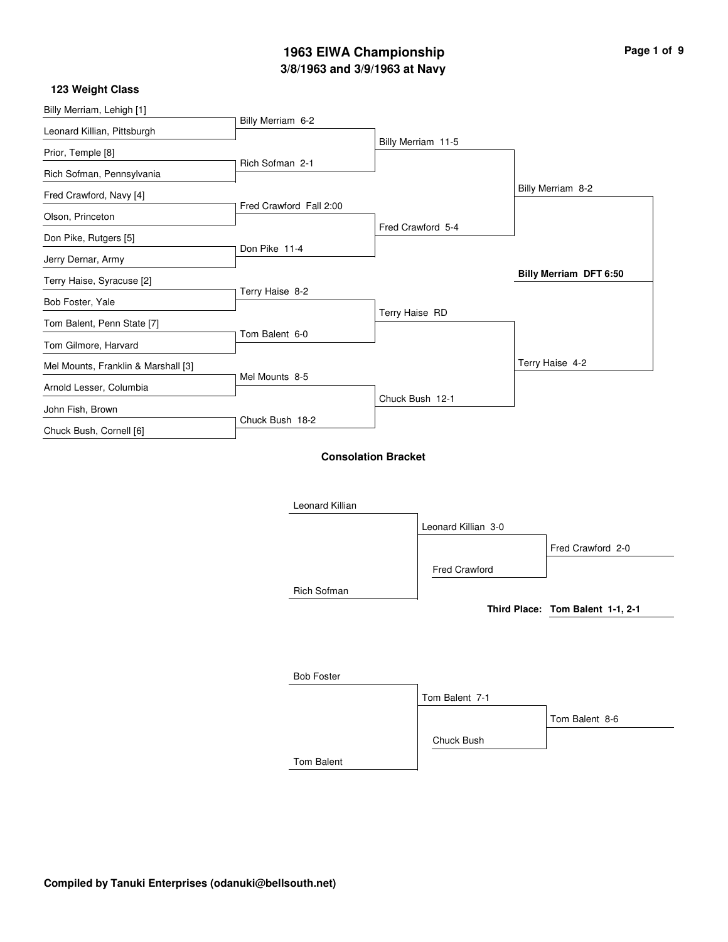# **3/8/1963 and 3/9/1963 at Navy 1963 EIWA Championship Page 1 of 9**

| 123 Weight Class                    |                         |                    |                               |
|-------------------------------------|-------------------------|--------------------|-------------------------------|
| Billy Merriam, Lehigh [1]           |                         |                    |                               |
| Leonard Killian, Pittsburgh         | Billy Merriam 6-2       |                    |                               |
| Prior, Temple [8]                   |                         | Billy Merriam 11-5 |                               |
| Rich Sofman, Pennsylvania           | Rich Sofman 2-1         |                    |                               |
| Fred Crawford, Navy [4]             |                         |                    | Billy Merriam 8-2             |
| Olson, Princeton                    | Fred Crawford Fall 2:00 |                    |                               |
| Don Pike, Rutgers [5]               |                         | Fred Crawford 5-4  |                               |
| Jerry Dernar, Army                  | Don Pike 11-4           |                    |                               |
| Terry Haise, Syracuse [2]           |                         |                    | <b>Billy Merriam DFT 6:50</b> |
| Bob Foster, Yale                    | Terry Haise 8-2         |                    |                               |
| Tom Balent, Penn State [7]          |                         | Terry Haise RD     |                               |
| Tom Gilmore, Harvard                | Tom Balent 6-0          |                    |                               |
| Mel Mounts, Franklin & Marshall [3] |                         |                    | Terry Haise 4-2               |
| Arnold Lesser, Columbia             | Mel Mounts 8-5          |                    |                               |
| John Fish, Brown                    |                         | Chuck Bush 12-1    |                               |
| Chuck Bush, Cornell [6]             | Chuck Bush 18-2         |                    |                               |

### **Consolation Bracket**



Tom Balent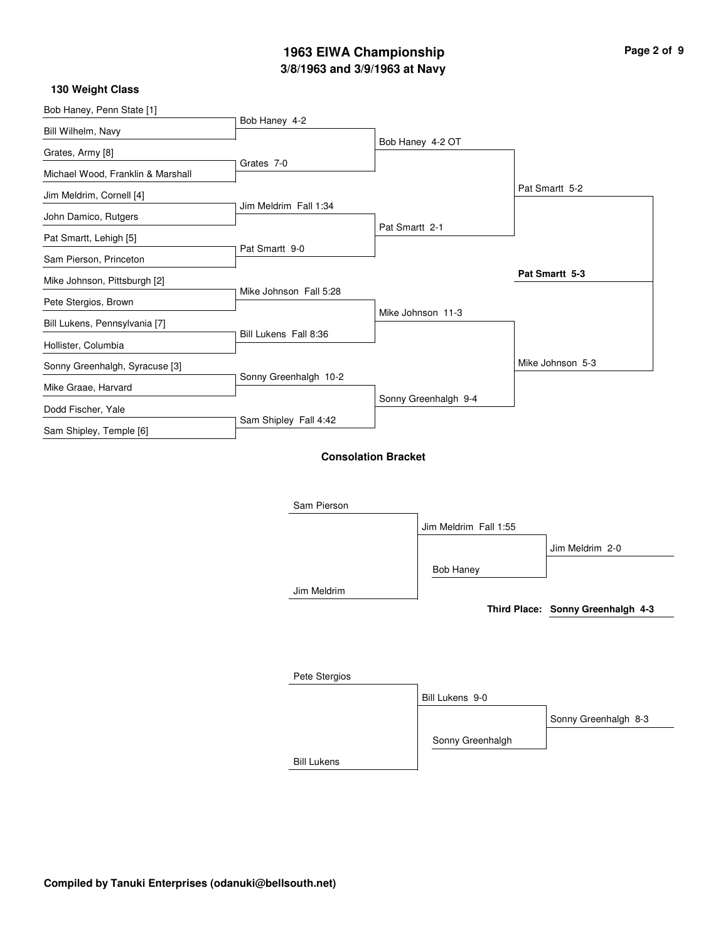# **3/8/1963 and 3/9/1963 at Navy 1963 EIWA Championship Page 2 of 9**

| 130 Weight Class |  |
|------------------|--|
|------------------|--|

| Bob Haney, Penn State [1]         |                        |                            |                       |                  |
|-----------------------------------|------------------------|----------------------------|-----------------------|------------------|
| Bill Wilhelm, Navy                | Bob Haney 4-2          |                            |                       |                  |
| Grates, Army [8]                  | Grates 7-0             |                            | Bob Haney 4-2 OT      |                  |
| Michael Wood, Franklin & Marshall |                        |                            |                       |                  |
| Jim Meldrim, Cornell [4]          |                        |                            |                       | Pat Smartt 5-2   |
| John Damico, Rutgers              | Jim Meldrim Fall 1:34  |                            |                       |                  |
| Pat Smartt, Lehigh [5]            |                        | Pat Smartt 2-1             |                       |                  |
| Sam Pierson, Princeton            | Pat Smartt 9-0         |                            |                       |                  |
| Mike Johnson, Pittsburgh [2]      |                        |                            |                       | Pat Smartt 5-3   |
| Pete Stergios, Brown              | Mike Johnson Fall 5:28 |                            |                       |                  |
|                                   |                        |                            | Mike Johnson 11-3     |                  |
| Bill Lukens, Pennsylvania [7]     | Bill Lukens Fall 8:36  |                            |                       |                  |
| Hollister, Columbia               |                        |                            |                       | Mike Johnson 5-3 |
| Sonny Greenhalgh, Syracuse [3]    | Sonny Greenhalgh 10-2  |                            |                       |                  |
| Mike Graae, Harvard               |                        |                            | Sonny Greenhalgh 9-4  |                  |
| Dodd Fischer, Yale                | Sam Shipley Fall 4:42  |                            |                       |                  |
| Sam Shipley, Temple [6]           |                        |                            |                       |                  |
|                                   |                        | <b>Consolation Bracket</b> |                       |                  |
|                                   |                        |                            |                       |                  |
|                                   | Sam Pierson            |                            |                       |                  |
|                                   |                        |                            |                       |                  |
|                                   |                        |                            | Jim Meldrim Fall 1:55 |                  |
|                                   |                        |                            |                       | Jim Meldrim 2-0  |

Jim Meldrim

**Third Place: Sonny Greenhalgh 4-3**

| Pete Stergios      |                  |                      |
|--------------------|------------------|----------------------|
|                    | Bill Lukens 9-0  |                      |
|                    |                  | Sonny Greenhalgh 8-3 |
|                    | Sonny Greenhalgh |                      |
| <b>Bill Lukens</b> |                  |                      |

Bob Haney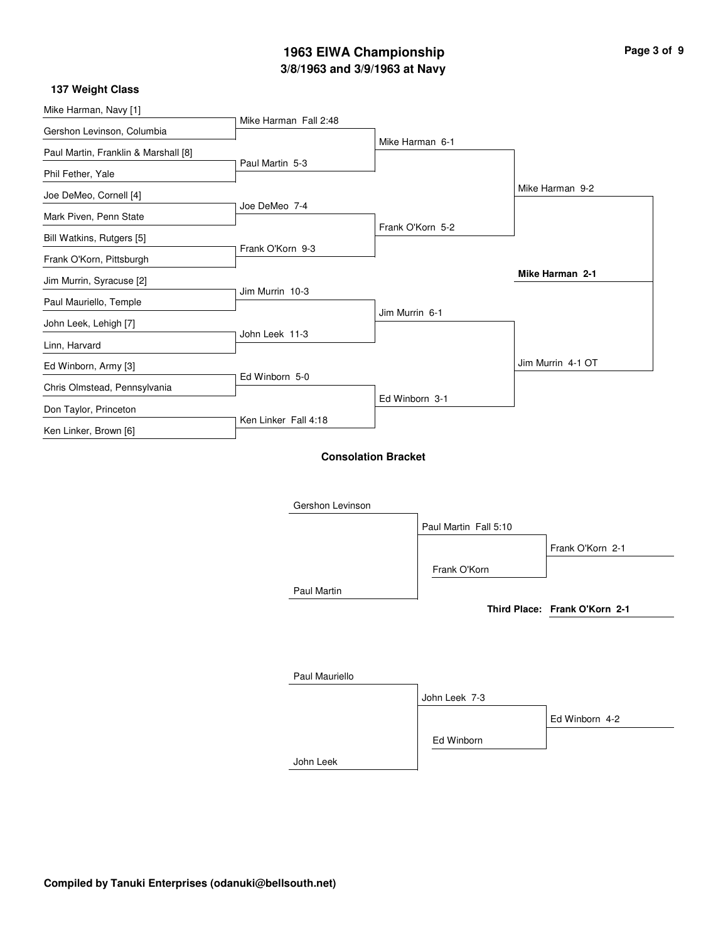# **3/8/1963 and 3/9/1963 at Navy 1963 EIWA Championship Page 3 of 9**

### **137 Weight Class**

| Mike Harman, Navy [1]                |                       |                            |                |                       |                               |
|--------------------------------------|-----------------------|----------------------------|----------------|-----------------------|-------------------------------|
| Gershon Levinson, Columbia           | Mike Harman Fall 2:48 |                            |                |                       |                               |
| Paul Martin, Franklin & Marshall [8] |                       |                            |                | Mike Harman 6-1       |                               |
| Phil Fether, Yale                    | Paul Martin 5-3       |                            |                |                       |                               |
| Joe DeMeo, Cornell [4]               |                       |                            |                |                       | Mike Harman 9-2               |
| Mark Piven, Penn State               | Joe DeMeo 7-4         |                            |                |                       |                               |
| Bill Watkins, Rutgers [5]            |                       |                            |                | Frank O'Korn 5-2      |                               |
| Frank O'Korn, Pittsburgh             | Frank O'Korn 9-3      |                            |                |                       |                               |
| Jim Murrin, Syracuse [2]             |                       |                            |                |                       | Mike Harman 2-1               |
| Paul Mauriello, Temple               | Jim Murrin 10-3       |                            |                |                       |                               |
| John Leek, Lehigh [7]                |                       |                            | Jim Murrin 6-1 |                       |                               |
| Linn, Harvard                        | John Leek 11-3        |                            |                |                       |                               |
| Ed Winborn, Army [3]                 |                       |                            |                |                       | Jim Murrin 4-1 OT             |
| Chris Olmstead, Pennsylvania         | Ed Winborn 5-0        |                            |                |                       |                               |
| Don Taylor, Princeton                |                       |                            | Ed Winborn 3-1 |                       |                               |
| Ken Linker, Brown [6]                | Ken Linker Fall 4:18  |                            |                |                       |                               |
|                                      |                       | <b>Consolation Bracket</b> |                |                       |                               |
|                                      |                       | Gershon Levinson           |                |                       |                               |
|                                      |                       |                            |                | Paul Martin Fall 5:10 |                               |
|                                      |                       |                            |                |                       | Frank O'Korn 2-1              |
|                                      |                       |                            |                | Frank O'Korn          |                               |
|                                      |                       | Paul Martin                |                |                       |                               |
|                                      |                       |                            |                |                       | Third Place: Frank O'Korn 2-1 |

| Paul Mauriello |               |                |
|----------------|---------------|----------------|
|                | John Leek 7-3 |                |
|                |               | Ed Winborn 4-2 |
|                | Ed Winborn    |                |
| John Leek      |               |                |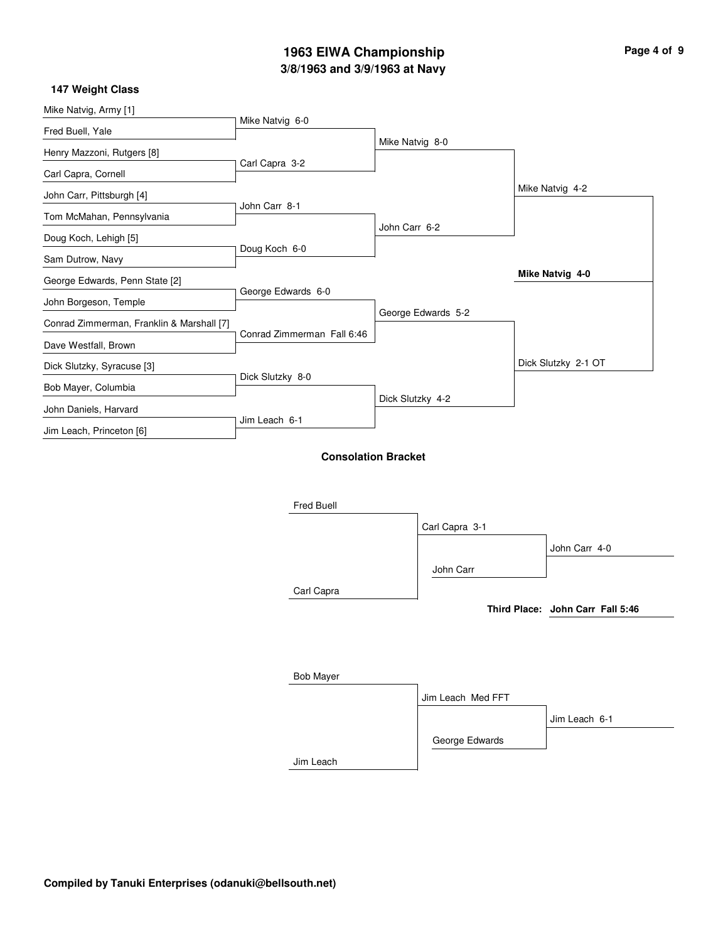# **3/8/1963 and 3/9/1963 at Navy 1963 EIWA Championship**

| Page 4 of 9 |  |  |
|-------------|--|--|
|             |  |  |

 $\overline{\phantom{0}}$ 

### **147 Weight Class**

| Mike Natvig, Army [1]                     | Mike Natvig 6-0            |                  |                    |                                  |
|-------------------------------------------|----------------------------|------------------|--------------------|----------------------------------|
| Fred Buell, Yale                          |                            |                  |                    |                                  |
| Henry Mazzoni, Rutgers [8]                |                            | Mike Natvig 8-0  |                    |                                  |
| Carl Capra, Cornell                       | Carl Capra 3-2             |                  |                    |                                  |
| John Carr, Pittsburgh [4]                 |                            |                  |                    | Mike Natvig 4-2                  |
| Tom McMahan, Pennsylvania                 | John Carr 8-1              |                  |                    |                                  |
| Doug Koch, Lehigh [5]                     |                            | John Carr 6-2    |                    |                                  |
| Sam Dutrow, Navy                          | Doug Koch 6-0              |                  |                    |                                  |
| George Edwards, Penn State [2]            |                            |                  |                    | Mike Natvig 4-0                  |
| John Borgeson, Temple                     | George Edwards 6-0         |                  |                    |                                  |
|                                           |                            |                  | George Edwards 5-2 |                                  |
| Conrad Zimmerman, Franklin & Marshall [7] | Conrad Zimmerman Fall 6:46 |                  |                    |                                  |
| Dave Westfall, Brown                      |                            |                  |                    | Dick Slutzky 2-1 OT              |
| Dick Slutzky, Syracuse [3]                | Dick Slutzky 8-0           |                  |                    |                                  |
| Bob Mayer, Columbia                       |                            | Dick Slutzky 4-2 |                    |                                  |
| John Daniels, Harvard                     | Jim Leach 6-1              |                  |                    |                                  |
| Jim Leach, Princeton [6]                  |                            |                  |                    |                                  |
|                                           | <b>Consolation Bracket</b> |                  |                    |                                  |
|                                           |                            |                  |                    |                                  |
|                                           |                            |                  |                    |                                  |
|                                           | Fred Buell                 |                  |                    |                                  |
|                                           |                            |                  | Carl Capra 3-1     |                                  |
|                                           |                            |                  |                    | John Carr 4-0                    |
|                                           |                            |                  | John Carr          |                                  |
|                                           | Carl Capra                 |                  |                    |                                  |
|                                           |                            |                  |                    | Third Place: John Carr Fall 5:46 |
|                                           |                            |                  |                    |                                  |
|                                           |                            |                  |                    |                                  |
|                                           | <b>Bob Mayer</b>           |                  |                    |                                  |
|                                           |                            |                  | Jim Leach Med FFT  |                                  |
|                                           |                            |                  |                    | Jim Leach 6-1                    |
|                                           |                            |                  | George Edwards     |                                  |
|                                           |                            |                  |                    |                                  |
|                                           | Jim Leach                  |                  |                    |                                  |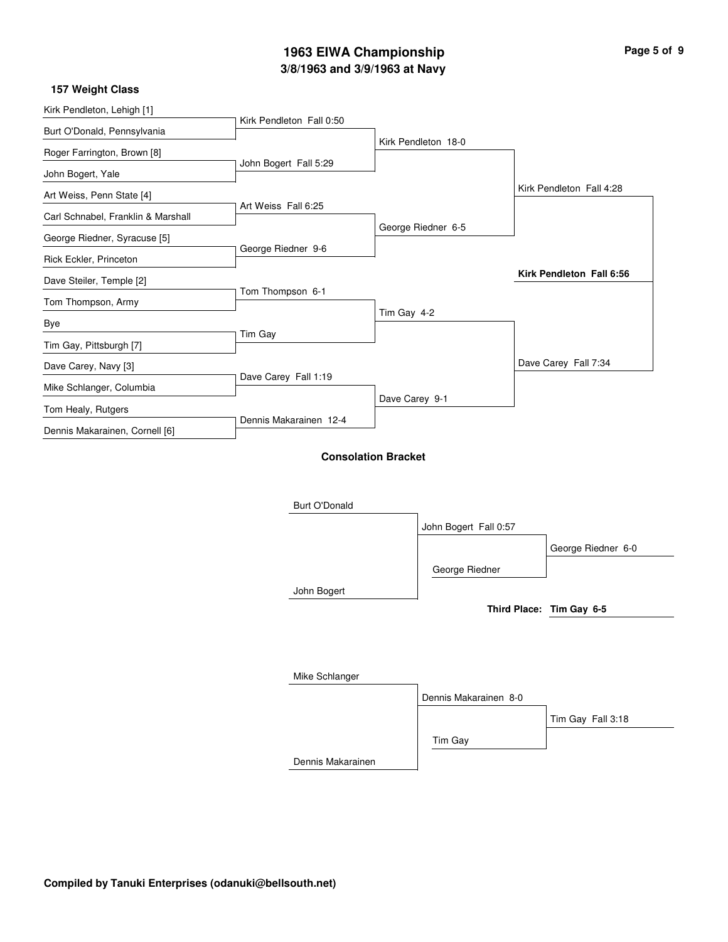# **3/8/1963 and 3/9/1963 at Navy 1963 EIWA Championship Page 5 of 9**

#### **157 Weight Class**

| Kirk Pendleton, Lehigh [1]         |                          |                            |                       |                          |
|------------------------------------|--------------------------|----------------------------|-----------------------|--------------------------|
| Burt O'Donald, Pennsylvania        | Kirk Pendleton Fall 0:50 |                            |                       |                          |
| Roger Farrington, Brown [8]        |                          |                            | Kirk Pendleton 18-0   |                          |
| John Bogert, Yale                  | John Bogert Fall 5:29    |                            |                       |                          |
| Art Weiss, Penn State [4]          |                          |                            |                       | Kirk Pendleton Fall 4:28 |
| Carl Schnabel, Franklin & Marshall | Art Weiss Fall 6:25      |                            |                       |                          |
| George Riedner, Syracuse [5]       |                          |                            | George Riedner 6-5    |                          |
| Rick Eckler, Princeton             | George Riedner 9-6       |                            |                       |                          |
| Dave Steiler, Temple [2]           |                          |                            |                       | Kirk Pendleton Fall 6:56 |
| Tom Thompson, Army                 | Tom Thompson 6-1         |                            |                       |                          |
| Bye                                |                          | Tim Gay 4-2                |                       |                          |
| Tim Gay, Pittsburgh [7]            | Tim Gay                  |                            |                       |                          |
| Dave Carey, Navy [3]               |                          |                            |                       | Dave Carey Fall 7:34     |
| Mike Schlanger, Columbia           | Dave Carey Fall 1:19     |                            |                       |                          |
| Tom Healy, Rutgers                 |                          | Dave Carey 9-1             |                       |                          |
| Dennis Makarainen, Cornell [6]     | Dennis Makarainen 12-4   |                            |                       |                          |
|                                    |                          | <b>Consolation Bracket</b> |                       |                          |
|                                    |                          |                            |                       |                          |
|                                    | <b>Burt O'Donald</b>     |                            |                       |                          |
|                                    |                          |                            | John Bogert Fall 0:57 |                          |
|                                    |                          |                            |                       | George Riedner 6-0       |

John Bogert

**Third Place: Tim Gay 6-5**

| Mike Schlanger    |                       |                   |
|-------------------|-----------------------|-------------------|
|                   | Dennis Makarainen 8-0 |                   |
|                   |                       | Tim Gay Fall 3:18 |
|                   | Tim Gay               |                   |
| Dennis Makarainen |                       |                   |

George Riedner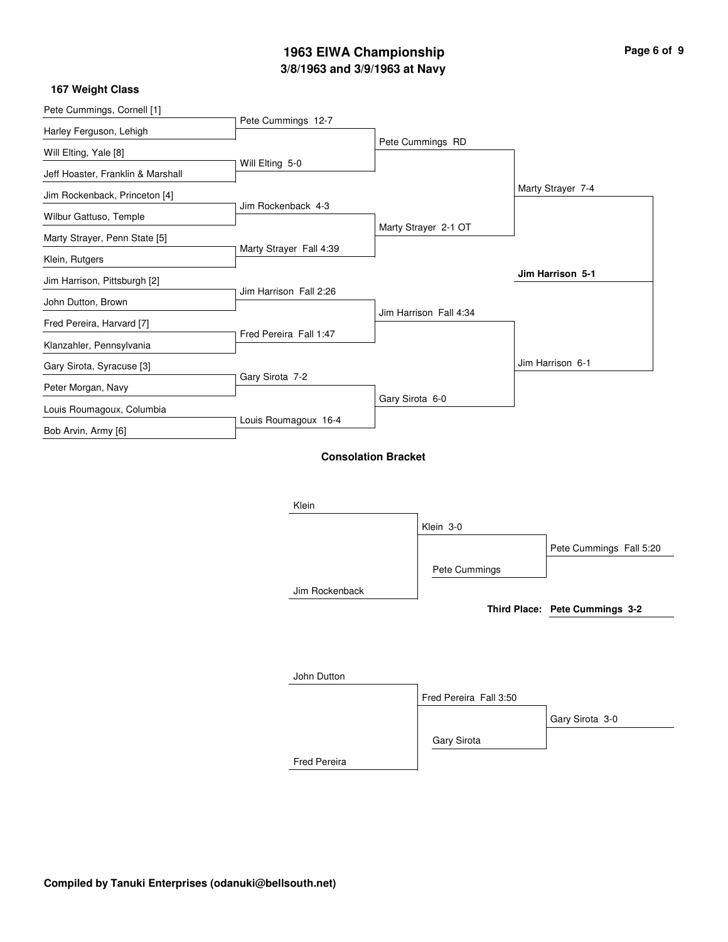# **3/8/1963 and 3/9/1963 at Navy 1963 EIWA Championship Page 6 of 9**

### **167 Weight Class**

| Pete Cummings, Cornell [1]        |                         |                            |                   |
|-----------------------------------|-------------------------|----------------------------|-------------------|
|                                   | Pete Cummings 12-7      |                            |                   |
| Harley Ferguson, Lehigh           |                         | Pete Cummings RD           |                   |
| Will Elting, Yale [8]             |                         |                            |                   |
| Jeff Hoaster, Franklin & Marshall | Will Elting 5-0         |                            |                   |
| Jim Rockenback, Princeton [4]     |                         |                            | Marty Strayer 7-4 |
| Wilbur Gattuso, Temple            | Jim Rockenback 4-3      |                            |                   |
|                                   |                         | Marty Strayer 2-1 OT       |                   |
| Marty Strayer, Penn State [5]     | Marty Strayer Fall 4:39 |                            |                   |
| Klein, Rutgers                    |                         |                            |                   |
| Jim Harrison, Pittsburgh [2]      |                         |                            | Jim Harrison 5-1  |
| John Dutton, Brown                | Jim Harrison Fall 2:26  |                            |                   |
| Fred Pereira, Harvard [7]         |                         | Jim Harrison Fall 4:34     |                   |
|                                   | Fred Pereira Fall 1:47  |                            |                   |
| Klanzahler, Pennsylvania          |                         |                            |                   |
| Gary Sirota, Syracuse [3]         |                         |                            | Jim Harrison 6-1  |
| Peter Morgan, Navy                | Gary Sirota 7-2         |                            |                   |
|                                   |                         | Gary Sirota 6-0            |                   |
| Louis Roumagoux, Columbia         |                         |                            |                   |
| Bob Arvin, Army [6]               | Louis Roumagoux 16-4    |                            |                   |
|                                   |                         | <b>Consolation Bracket</b> |                   |
|                                   |                         |                            |                   |
|                                   |                         |                            |                   |

Fred Pereira

| Klein          |                        |                                |
|----------------|------------------------|--------------------------------|
|                | Klein 3-0              |                                |
|                |                        | Pete Cummings Fall 5:20        |
|                | Pete Cummings          |                                |
| Jim Rockenback |                        |                                |
|                |                        | Third Place: Pete Cummings 3-2 |
|                |                        |                                |
|                |                        |                                |
|                |                        |                                |
| John Dutton    |                        |                                |
|                | Fred Pereira Fall 3:50 |                                |
|                |                        | Gary Sirota 3-0                |
|                | Gary Sirota            |                                |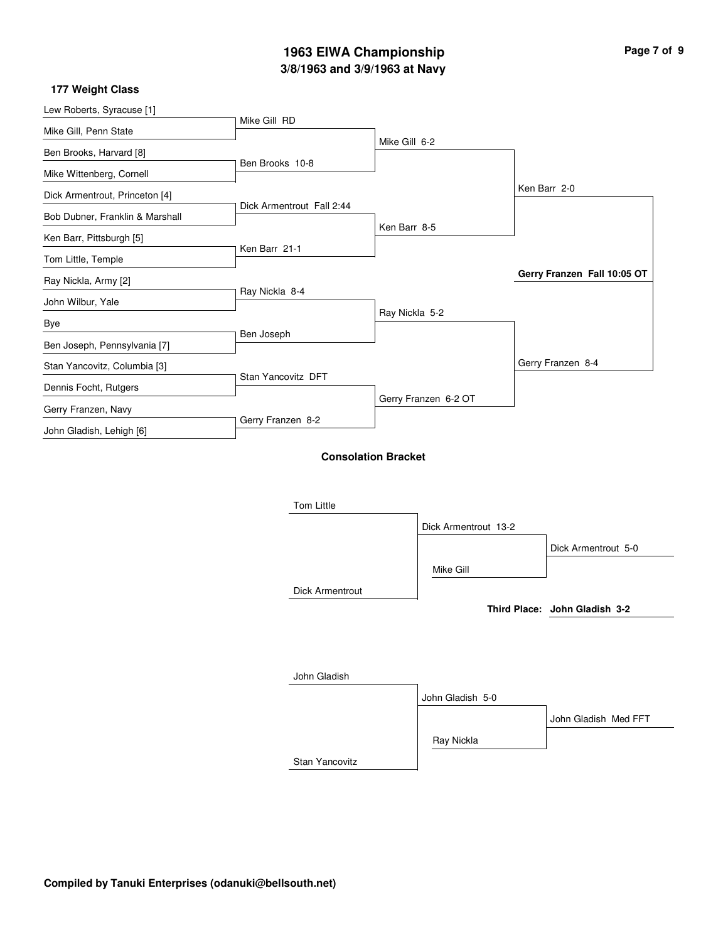# **3/8/1963 and 3/9/1963 at Navy 1963 EIWA Championship Page 7 of 9**

### **177 Weight Class**

| Lew Roberts, Syracuse [1]       |                           |                            |                             |
|---------------------------------|---------------------------|----------------------------|-----------------------------|
| Mike Gill, Penn State           | Mike Gill RD              |                            |                             |
| Ben Brooks, Harvard [8]         |                           | Mike Gill 6-2              |                             |
| Mike Wittenberg, Cornell        | Ben Brooks 10-8           |                            |                             |
| Dick Armentrout, Princeton [4]  |                           |                            | Ken Barr 2-0                |
| Bob Dubner, Franklin & Marshall | Dick Armentrout Fall 2:44 |                            |                             |
| Ken Barr, Pittsburgh [5]        |                           | Ken Barr 8-5               |                             |
| Tom Little, Temple              | Ken Barr 21-1             |                            |                             |
| Ray Nickla, Army [2]            |                           |                            | Gerry Franzen Fall 10:05 OT |
| John Wilbur, Yale               | Ray Nickla 8-4            |                            |                             |
| Bye                             |                           | Ray Nickla 5-2             |                             |
| Ben Joseph, Pennsylvania [7]    | Ben Joseph                |                            |                             |
| Stan Yancovitz, Columbia [3]    |                           |                            | Gerry Franzen 8-4           |
| Dennis Focht, Rutgers           | Stan Yancovitz DFT        |                            |                             |
| Gerry Franzen, Navy             |                           | Gerry Franzen 6-2 OT       |                             |
| John Gladish, Lehigh [6]        | Gerry Franzen 8-2         |                            |                             |
|                                 |                           | <b>Consolation Bracket</b> |                             |
|                                 | Tom Little                |                            |                             |

John Gladish

| Tom Little             |                      |                               |
|------------------------|----------------------|-------------------------------|
|                        | Dick Armentrout 13-2 |                               |
|                        |                      | Dick Armentrout 5-0           |
|                        | Mike Gill            |                               |
| <b>Dick Armentrout</b> |                      |                               |
|                        |                      | Third Place: John Gladish 3-2 |
|                        |                      |                               |
|                        |                      |                               |
|                        |                      |                               |

|                | John Gladish 5-0 |                      |
|----------------|------------------|----------------------|
|                |                  | John Gladish Med FFT |
|                | Ray Nickla       |                      |
| Stan Yancovitz |                  |                      |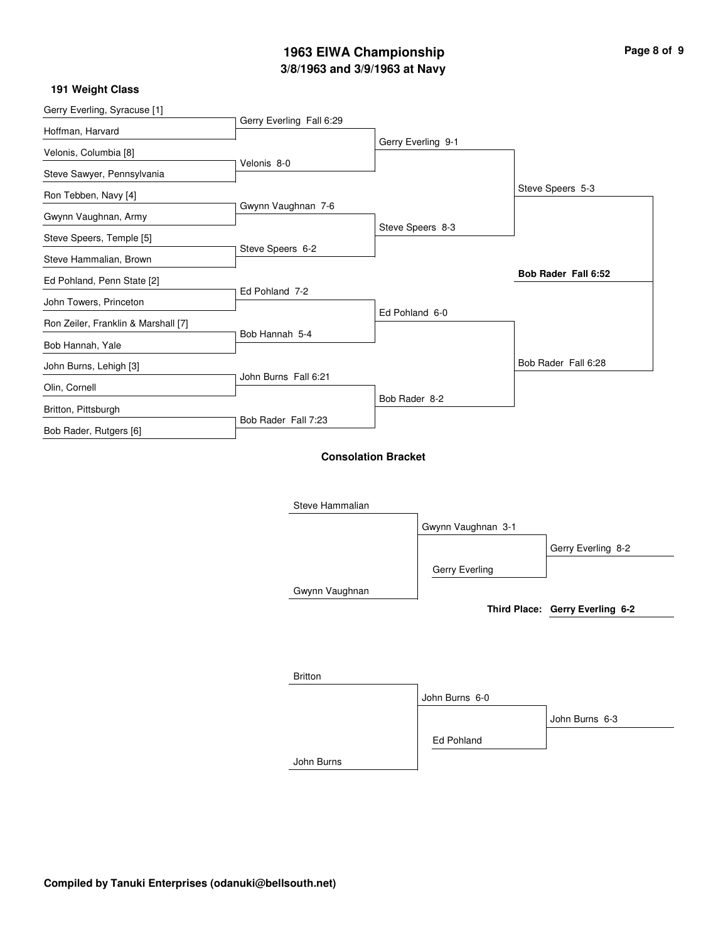# **3/8/1963 and 3/9/1963 at Navy 1963 EIWA Championship Page 8 of 9**

### **191 Weight Class**

| Gerry Everling, Syracuse [1]        | Gerry Everling Fall 6:29 |                            |                    |                                 |
|-------------------------------------|--------------------------|----------------------------|--------------------|---------------------------------|
| Hoffman, Harvard                    |                          |                            | Gerry Everling 9-1 |                                 |
| Velonis, Columbia [8]               | Velonis 8-0              |                            |                    |                                 |
| Steve Sawyer, Pennsylvania          |                          |                            |                    |                                 |
| Ron Tebben, Navy [4]                |                          |                            |                    | Steve Speers 5-3                |
| Gwynn Vaughnan, Army                | Gwynn Vaughnan 7-6       |                            |                    |                                 |
| Steve Speers, Temple [5]            |                          |                            | Steve Speers 8-3   |                                 |
| Steve Hammalian, Brown              | Steve Speers 6-2         |                            |                    |                                 |
| Ed Pohland, Penn State [2]          |                          |                            |                    | Bob Rader Fall 6:52             |
| John Towers, Princeton              | Ed Pohland 7-2           |                            |                    |                                 |
| Ron Zeiler, Franklin & Marshall [7] |                          |                            | Ed Pohland 6-0     |                                 |
| Bob Hannah, Yale                    | Bob Hannah 5-4           |                            |                    |                                 |
| John Burns, Lehigh [3]              |                          |                            |                    | Bob Rader Fall 6:28             |
| Olin, Cornell                       | John Burns Fall 6:21     |                            |                    |                                 |
| Britton, Pittsburgh                 |                          | Bob Rader 8-2              |                    |                                 |
| Bob Rader, Rutgers [6]              | Bob Rader Fall 7:23      |                            |                    |                                 |
|                                     | Steve Hammalian          | <b>Consolation Bracket</b> |                    |                                 |
|                                     |                          |                            | Gwynn Vaughnan 3-1 |                                 |
|                                     |                          |                            |                    | Gerry Everling 8-2              |
|                                     |                          |                            | Gerry Everling     |                                 |
|                                     | Gwynn Vaughnan           |                            |                    |                                 |
|                                     |                          |                            |                    | Third Place: Gerry Everling 6-2 |
|                                     | <b>Britton</b>           |                            |                    |                                 |
|                                     |                          |                            | John Burns 6-0     |                                 |
|                                     |                          |                            |                    | John Burns 6-3                  |
|                                     |                          |                            | Ed Pohland         |                                 |

John Burns